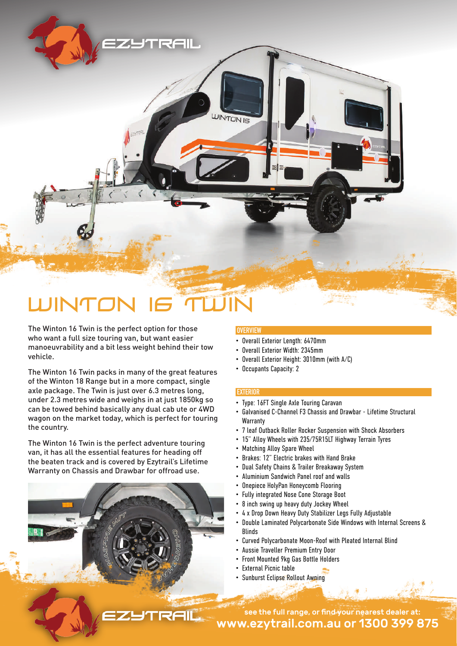# WINTON 16 TWIN

The Winton 16 Twin is the perfect option for those who want a full size touring van, but want easier manoeuvrability and a bit less weight behind their tow vehicle.

The Winton 16 Twin packs in many of the great features of the Winton 18 Range but in a more compact, single axle package. The Twin is just over 6.3 metres long, under 2.3 metres wide and weighs in at just 1850kg so can be towed behind basically any dual cab ute or 4WD wagon on the market today, which is perfect for touring the country.

The Winton 16 Twin is the perfect adventure touring van, it has all the essential features for heading off the beaten track and is covered by Ezytrail's Lifetime Warranty on Chassis and Drawbar for offroad use.

# **OVERVIEW**

**INTON IE** 

- Overall Exterior Length: 6470mm
- Overall Exterior Width: 2345mm
- Overall Exterior Height: 3010mm (with A/C)
- Occupants Capacity: 2

## **EXTERIOR**

- Type: 16FT Single Axle Touring Caravan
- Galvanised C-Channel F3 Chassis and Drawbar Lifetime Structural Warranty
- 7 leaf Outback Roller Rocker Suspension with Shock Absorbers
- 15" Alloy Wheels with 235/75R15LT Highway Terrain Tyres
- Matching Alloy Spare Wheel
- Brakes: 12" Electric brakes with Hand Brake
- Dual Safety Chains & Trailer Breakaway System
- Aluminium Sandwich Panel roof and walls
- Onepiece HolyPan Honeycomb Flooring
- Fully integrated Nose Cone Storage Boot
- 8 inch swing up heavy duty Jockey Wheel
- 4 x Drop Down Heavy Duty Stabilizer Legs Fully Adjustable
- Double Laminated Polycarbonate Side Windows with Internal Screens & Blinds
- Curved Polycarbonate Moon-Roof with Pleated Internal Blind
- Aussie Traveller Premium Entry Door
- Front Mounted 9kg Gas Bottle Holders
- External Picnic table
- Sunburst Eclipse Rollout Awning

www.ezytrail.com.au or 1300 399 875 see the full range, or find your nearest dealer at: